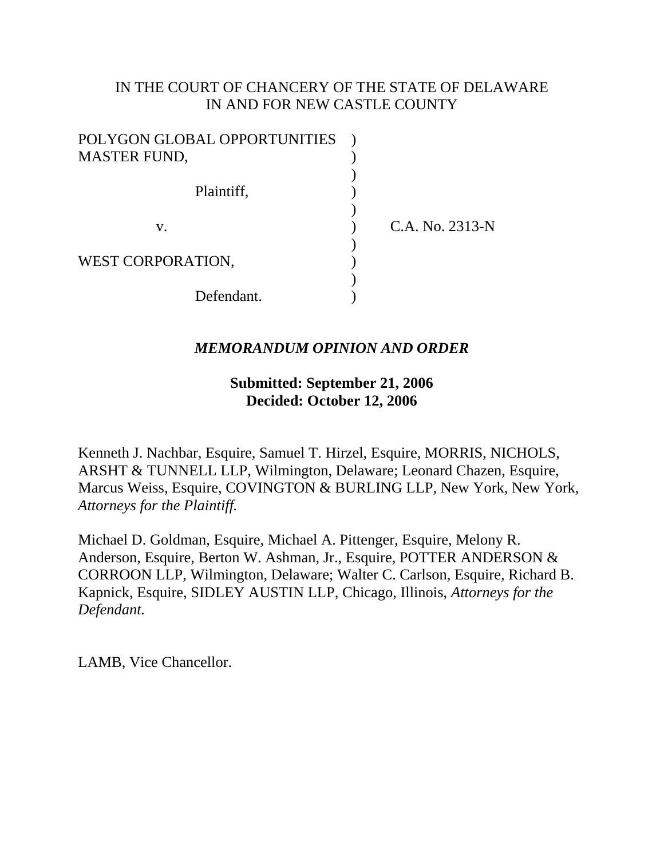# IN THE COURT OF CHANCERY OF THE STATE OF DELAWARE IN AND FOR NEW CASTLE COUNTY

| POLYGON GLOBAL OPPORTUNITIES |                 |
|------------------------------|-----------------|
| <b>MASTER FUND,</b>          |                 |
|                              |                 |
| Plaintiff,                   |                 |
|                              |                 |
| V.                           | C.A. No. 2313-N |
|                              |                 |
| WEST CORPORATION,            |                 |
|                              |                 |
| Defendant.                   |                 |

### *MEMORANDUM OPINION AND ORDER*

## **Submitted: September 21, 2006 Decided: October 12, 2006**

Kenneth J. Nachbar, Esquire, Samuel T. Hirzel, Esquire, MORRIS, NICHOLS, ARSHT & TUNNELL LLP, Wilmington, Delaware; Leonard Chazen, Esquire, Marcus Weiss, Esquire, COVINGTON & BURLING LLP, New York, New York, *Attorneys for the Plaintiff.*

Michael D. Goldman, Esquire, Michael A. Pittenger, Esquire, Melony R. Anderson, Esquire, Berton W. Ashman, Jr., Esquire, POTTER ANDERSON & CORROON LLP, Wilmington, Delaware; Walter C. Carlson, Esquire, Richard B. Kapnick, Esquire, SIDLEY AUSTIN LLP, Chicago, Illinois, *Attorneys for the Defendant.*

LAMB, Vice Chancellor.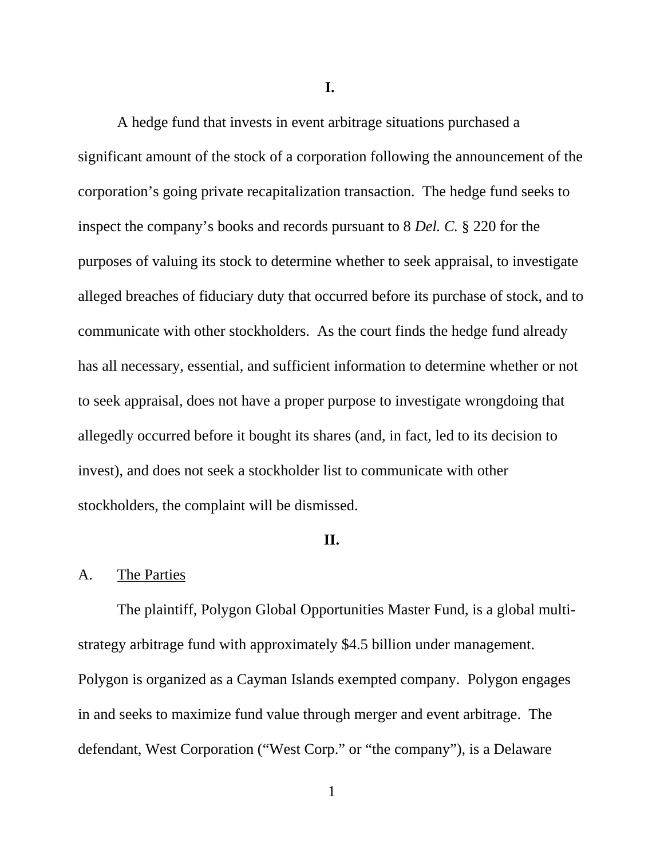**I.**

A hedge fund that invests in event arbitrage situations purchased a significant amount of the stock of a corporation following the announcement of the corporation's going private recapitalization transaction. The hedge fund seeks to inspect the company's books and records pursuant to 8 *Del. C.* § 220 for the purposes of valuing its stock to determine whether to seek appraisal, to investigate alleged breaches of fiduciary duty that occurred before its purchase of stock, and to communicate with other stockholders. As the court finds the hedge fund already has all necessary, essential, and sufficient information to determine whether or not to seek appraisal, does not have a proper purpose to investigate wrongdoing that allegedly occurred before it bought its shares (and, in fact, led to its decision to invest), and does not seek a stockholder list to communicate with other stockholders, the complaint will be dismissed.

#### **II.**

### A. The Parties

The plaintiff, Polygon Global Opportunities Master Fund, is a global multistrategy arbitrage fund with approximately \$4.5 billion under management. Polygon is organized as a Cayman Islands exempted company. Polygon engages in and seeks to maximize fund value through merger and event arbitrage. The defendant, West Corporation ("West Corp." or "the company"), is a Delaware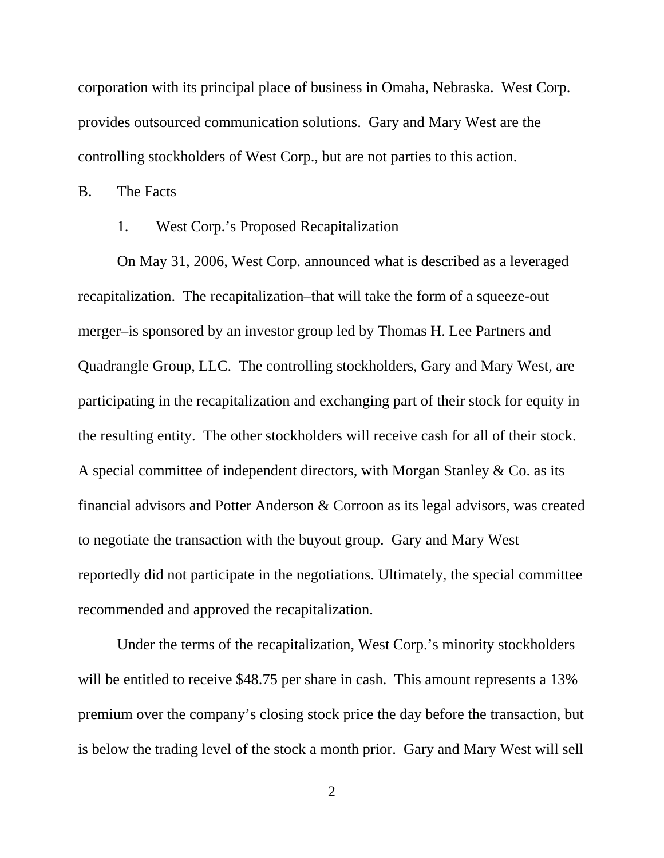corporation with its principal place of business in Omaha, Nebraska. West Corp. provides outsourced communication solutions. Gary and Mary West are the controlling stockholders of West Corp., but are not parties to this action.

B. The Facts

#### 1. West Corp.'s Proposed Recapitalization

On May 31, 2006, West Corp. announced what is described as a leveraged recapitalization. The recapitalization–that will take the form of a squeeze-out merger–is sponsored by an investor group led by Thomas H. Lee Partners and Quadrangle Group, LLC. The controlling stockholders, Gary and Mary West, are participating in the recapitalization and exchanging part of their stock for equity in the resulting entity. The other stockholders will receive cash for all of their stock. A special committee of independent directors, with Morgan Stanley & Co. as its financial advisors and Potter Anderson & Corroon as its legal advisors, was created to negotiate the transaction with the buyout group. Gary and Mary West reportedly did not participate in the negotiations. Ultimately, the special committee recommended and approved the recapitalization.

Under the terms of the recapitalization, West Corp.'s minority stockholders will be entitled to receive \$48.75 per share in cash. This amount represents a 13% premium over the company's closing stock price the day before the transaction, but is below the trading level of the stock a month prior. Gary and Mary West will sell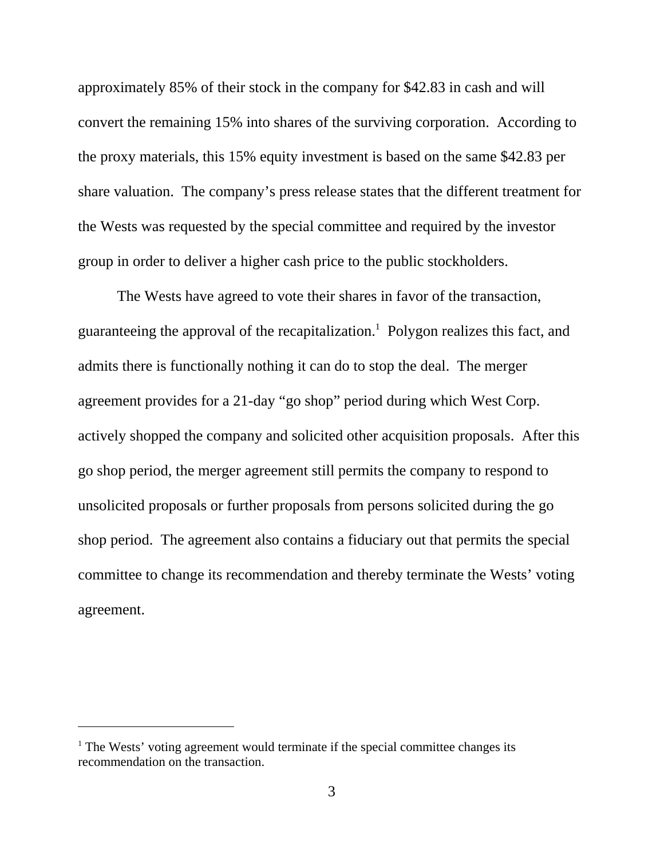approximately 85% of their stock in the company for \$42.83 in cash and will convert the remaining 15% into shares of the surviving corporation. According to the proxy materials, this 15% equity investment is based on the same \$42.83 per share valuation. The company's press release states that the different treatment for the Wests was requested by the special committee and required by the investor group in order to deliver a higher cash price to the public stockholders.

The Wests have agreed to vote their shares in favor of the transaction, guaranteeing the approval of the recapitalization.<sup>1</sup> Polygon realizes this fact, and admits there is functionally nothing it can do to stop the deal. The merger agreement provides for a 21-day "go shop" period during which West Corp. actively shopped the company and solicited other acquisition proposals. After this go shop period, the merger agreement still permits the company to respond to unsolicited proposals or further proposals from persons solicited during the go shop period. The agreement also contains a fiduciary out that permits the special committee to change its recommendation and thereby terminate the Wests' voting agreement.

<sup>&</sup>lt;sup>1</sup> The Wests' voting agreement would terminate if the special committee changes its recommendation on the transaction.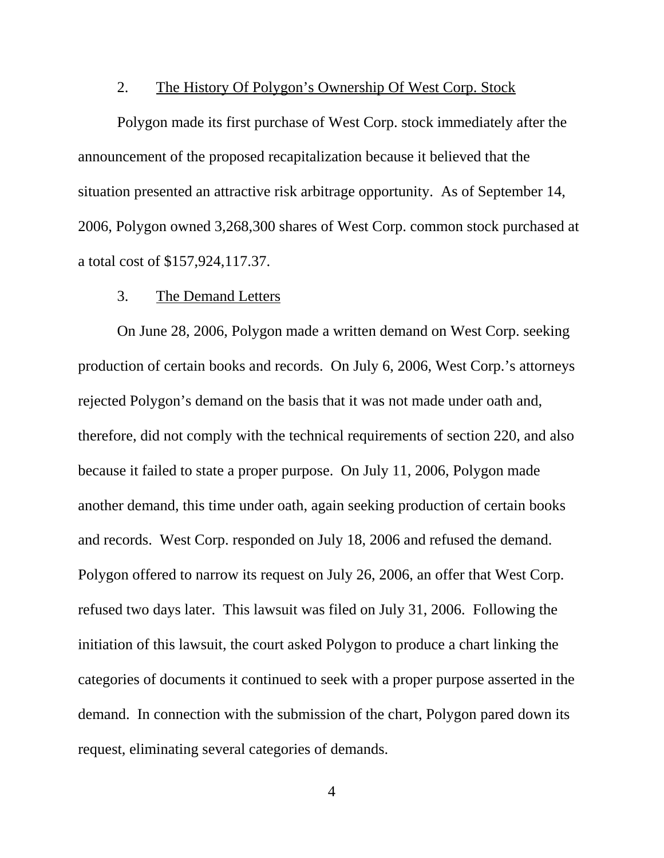#### 2. The History Of Polygon's Ownership Of West Corp. Stock

Polygon made its first purchase of West Corp. stock immediately after the announcement of the proposed recapitalization because it believed that the situation presented an attractive risk arbitrage opportunity. As of September 14, 2006, Polygon owned 3,268,300 shares of West Corp. common stock purchased at a total cost of \$157,924,117.37.

#### 3. The Demand Letters

On June 28, 2006, Polygon made a written demand on West Corp. seeking production of certain books and records. On July 6, 2006, West Corp.'s attorneys rejected Polygon's demand on the basis that it was not made under oath and, therefore, did not comply with the technical requirements of section 220, and also because it failed to state a proper purpose. On July 11, 2006, Polygon made another demand, this time under oath, again seeking production of certain books and records. West Corp. responded on July 18, 2006 and refused the demand. Polygon offered to narrow its request on July 26, 2006, an offer that West Corp. refused two days later. This lawsuit was filed on July 31, 2006. Following the initiation of this lawsuit, the court asked Polygon to produce a chart linking the categories of documents it continued to seek with a proper purpose asserted in the demand. In connection with the submission of the chart, Polygon pared down its request, eliminating several categories of demands.

4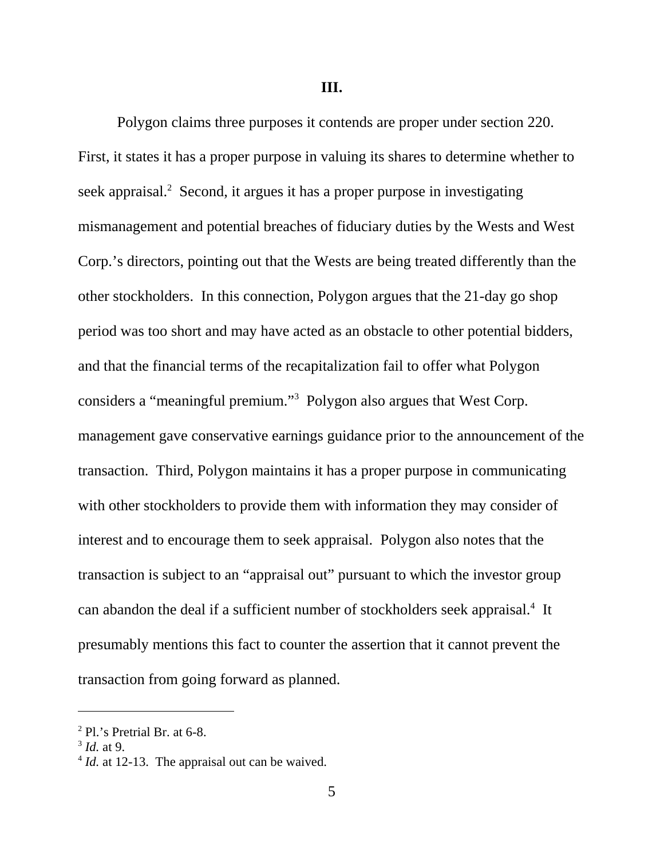**III.**

Polygon claims three purposes it contends are proper under section 220. First, it states it has a proper purpose in valuing its shares to determine whether to seek appraisal.<sup>2</sup> Second, it argues it has a proper purpose in investigating mismanagement and potential breaches of fiduciary duties by the Wests and West Corp.'s directors, pointing out that the Wests are being treated differently than the other stockholders. In this connection, Polygon argues that the 21-day go shop period was too short and may have acted as an obstacle to other potential bidders, and that the financial terms of the recapitalization fail to offer what Polygon considers a "meaningful premium."3 Polygon also argues that West Corp. management gave conservative earnings guidance prior to the announcement of the transaction. Third, Polygon maintains it has a proper purpose in communicating with other stockholders to provide them with information they may consider of interest and to encourage them to seek appraisal. Polygon also notes that the transaction is subject to an "appraisal out" pursuant to which the investor group can abandon the deal if a sufficient number of stockholders seek appraisal.<sup>4</sup> It presumably mentions this fact to counter the assertion that it cannot prevent the transaction from going forward as planned.

 $2$  Pl.'s Pretrial Br. at 6-8.

 $3$  *Id.* at 9.

<sup>&</sup>lt;sup>4</sup> *Id.* at 12-13. The appraisal out can be waived.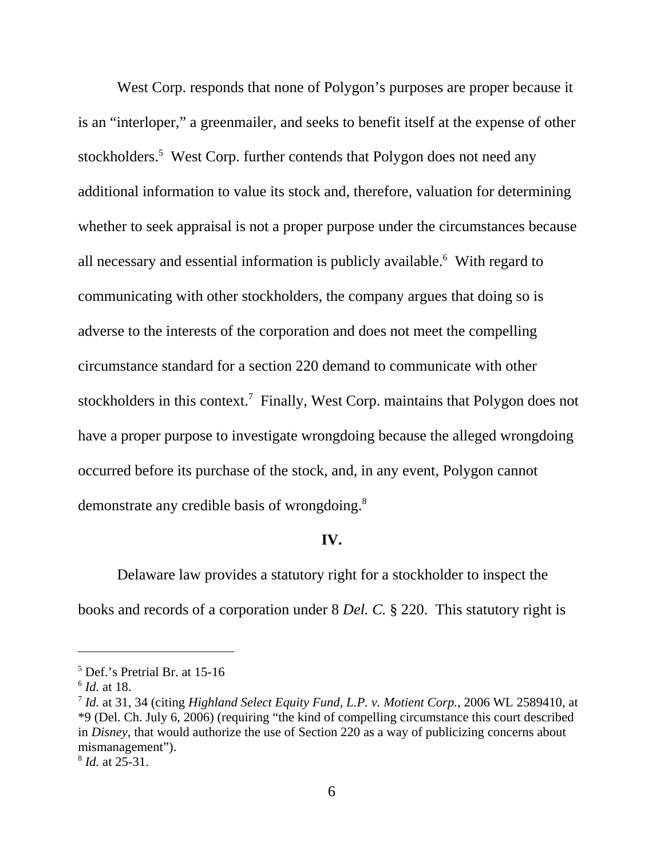West Corp. responds that none of Polygon's purposes are proper because it is an "interloper," a greenmailer, and seeks to benefit itself at the expense of other stockholders.<sup>5</sup> West Corp. further contends that Polygon does not need any additional information to value its stock and, therefore, valuation for determining whether to seek appraisal is not a proper purpose under the circumstances because all necessary and essential information is publicly available.<sup>6</sup> With regard to communicating with other stockholders, the company argues that doing so is adverse to the interests of the corporation and does not meet the compelling circumstance standard for a section 220 demand to communicate with other stockholders in this context.<sup>7</sup> Finally, West Corp. maintains that Polygon does not have a proper purpose to investigate wrongdoing because the alleged wrongdoing occurred before its purchase of the stock, and, in any event, Polygon cannot demonstrate any credible basis of wrongdoing.<sup>8</sup>

#### **IV.**

Delaware law provides a statutory right for a stockholder to inspect the books and records of a corporation under 8 *Del. C.* § 220. This statutory right is

<sup>5</sup> Def.'s Pretrial Br. at 15-16

<sup>6</sup> *Id.* at 18.

<sup>7</sup> *Id.* at 31, 34 (citing *Highland Select Equity Fund, L.P. v. Motient Corp.*, 2006 WL 2589410, at \*9 (Del. Ch. July 6, 2006) (requiring "the kind of compelling circumstance this court described in *Disney*, that would authorize the use of Section 220 as a way of publicizing concerns about mismanagement").

<sup>8</sup> *Id.* at 25-31.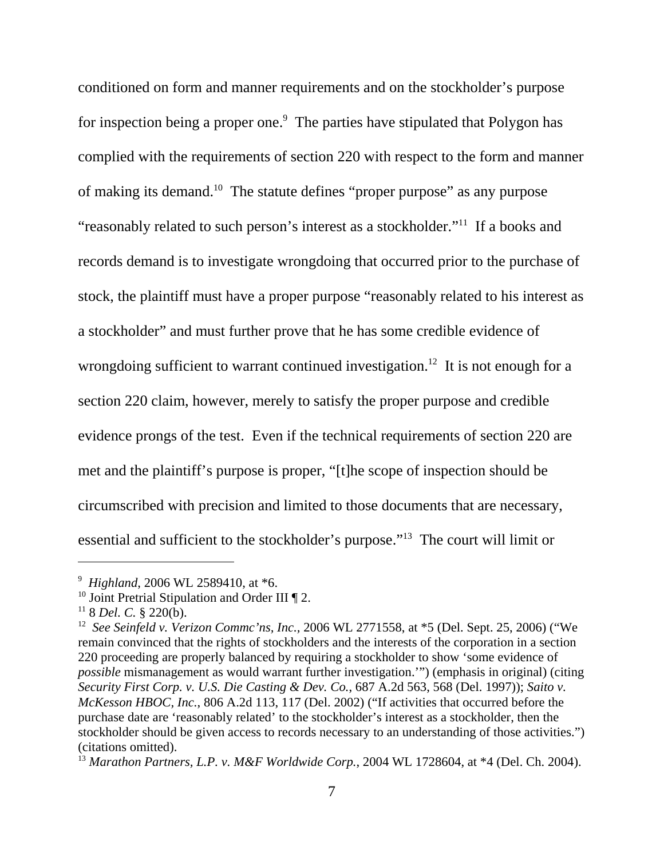conditioned on form and manner requirements and on the stockholder's purpose for inspection being a proper one.<sup>9</sup> The parties have stipulated that Polygon has complied with the requirements of section 220 with respect to the form and manner of making its demand.10 The statute defines "proper purpose" as any purpose "reasonably related to such person's interest as a stockholder."11 If a books and records demand is to investigate wrongdoing that occurred prior to the purchase of stock, the plaintiff must have a proper purpose "reasonably related to his interest as a stockholder" and must further prove that he has some credible evidence of wrongdoing sufficient to warrant continued investigation.<sup>12</sup> It is not enough for a section 220 claim, however, merely to satisfy the proper purpose and credible evidence prongs of the test. Even if the technical requirements of section 220 are met and the plaintiff's purpose is proper, "[t]he scope of inspection should be circumscribed with precision and limited to those documents that are necessary, essential and sufficient to the stockholder's purpose."13 The court will limit or

<sup>9</sup> *Highland*, 2006 WL 2589410, at \*6.

<sup>&</sup>lt;sup>10</sup> Joint Pretrial Stipulation and Order III  $\P$  2.

 $11$  8 *Del. C.* § 220(b).

<sup>12</sup> *See Seinfeld v. Verizon Commc'ns, Inc.,* 2006 WL 2771558, at \*5 (Del. Sept. 25, 2006) ("We remain convinced that the rights of stockholders and the interests of the corporation in a section 220 proceeding are properly balanced by requiring a stockholder to show 'some evidence of *possible* mismanagement as would warrant further investigation.'") (emphasis in original) (citing *Security First Corp. v. U.S. Die Casting & Dev. Co.*, 687 A.2d 563, 568 (Del. 1997)); *Saito v. McKesson HBOC, Inc.*, 806 A.2d 113, 117 (Del. 2002) ("If activities that occurred before the purchase date are 'reasonably related' to the stockholder's interest as a stockholder, then the stockholder should be given access to records necessary to an understanding of those activities.") (citations omitted).

<sup>13</sup> *Marathon Partners, L.P. v. M&F Worldwide Corp.*, 2004 WL 1728604, at \*4 (Del. Ch. 2004).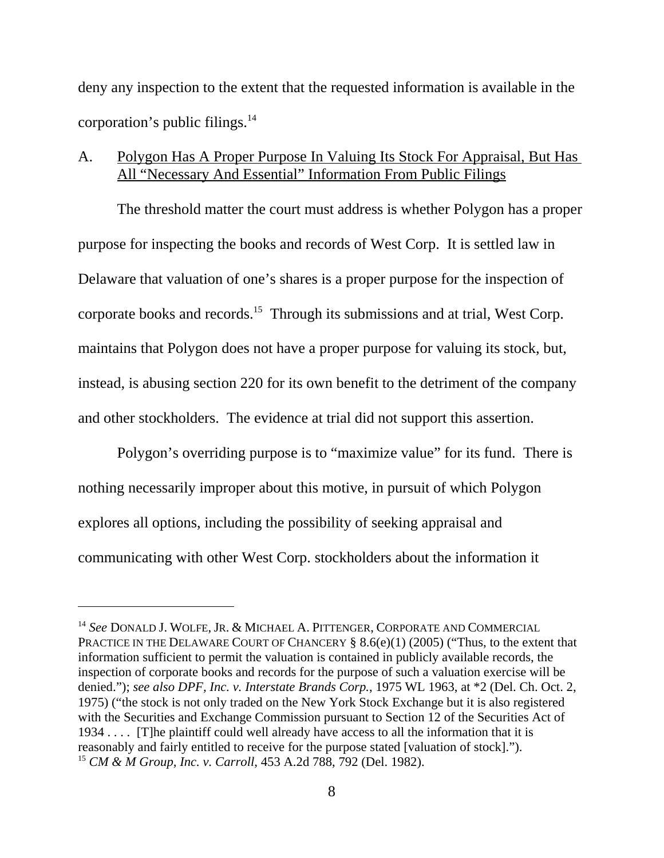deny any inspection to the extent that the requested information is available in the corporation's public filings. $^{14}$ 

# A. Polygon Has A Proper Purpose In Valuing Its Stock For Appraisal, But Has All "Necessary And Essential" Information From Public Filings

The threshold matter the court must address is whether Polygon has a proper purpose for inspecting the books and records of West Corp. It is settled law in Delaware that valuation of one's shares is a proper purpose for the inspection of corporate books and records.15 Through its submissions and at trial, West Corp. maintains that Polygon does not have a proper purpose for valuing its stock, but, instead, is abusing section 220 for its own benefit to the detriment of the company and other stockholders. The evidence at trial did not support this assertion.

Polygon's overriding purpose is to "maximize value" for its fund. There is nothing necessarily improper about this motive, in pursuit of which Polygon explores all options, including the possibility of seeking appraisal and communicating with other West Corp. stockholders about the information it

<sup>14</sup> *See* DONALD J. WOLFE, JR. & MICHAEL A. PITTENGER, CORPORATE AND COMMERCIAL PRACTICE IN THE DELAWARE COURT OF CHANCERY  $\S 8.6(e)(1)$  (2005) ("Thus, to the extent that information sufficient to permit the valuation is contained in publicly available records, the inspection of corporate books and records for the purpose of such a valuation exercise will be denied."); *see also DPF, Inc. v. Interstate Brands Corp.*, 1975 WL 1963, at \*2 (Del. Ch. Oct. 2, 1975) ("the stock is not only traded on the New York Stock Exchange but it is also registered with the Securities and Exchange Commission pursuant to Section 12 of the Securities Act of 1934 . . . . [T]he plaintiff could well already have access to all the information that it is reasonably and fairly entitled to receive for the purpose stated [valuation of stock]."). <sup>15</sup> *CM & M Group, Inc. v. Carroll*, 453 A.2d 788, 792 (Del. 1982).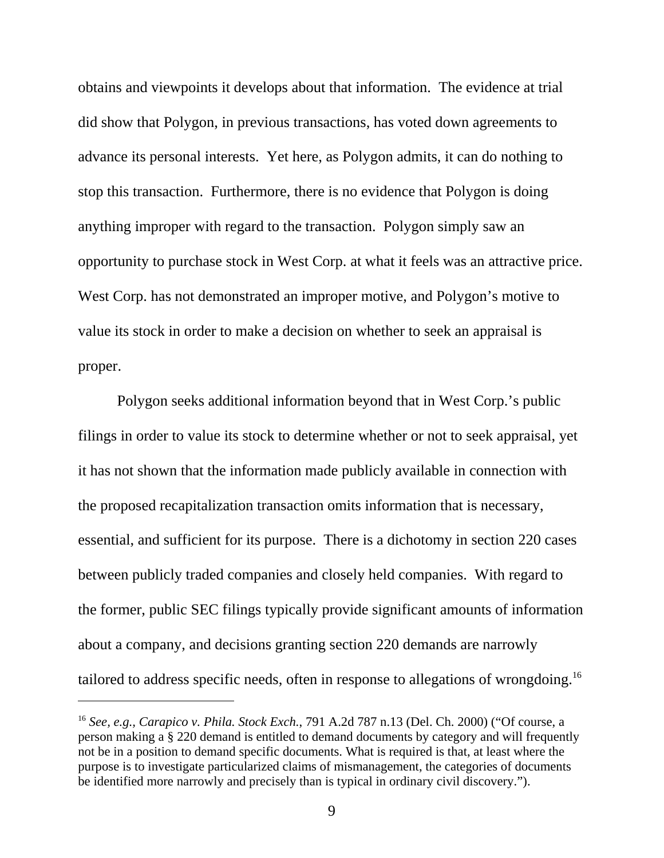obtains and viewpoints it develops about that information. The evidence at trial did show that Polygon, in previous transactions, has voted down agreements to advance its personal interests. Yet here, as Polygon admits, it can do nothing to stop this transaction. Furthermore, there is no evidence that Polygon is doing anything improper with regard to the transaction. Polygon simply saw an opportunity to purchase stock in West Corp. at what it feels was an attractive price. West Corp. has not demonstrated an improper motive, and Polygon's motive to value its stock in order to make a decision on whether to seek an appraisal is proper.

Polygon seeks additional information beyond that in West Corp.'s public filings in order to value its stock to determine whether or not to seek appraisal, yet it has not shown that the information made publicly available in connection with the proposed recapitalization transaction omits information that is necessary, essential, and sufficient for its purpose. There is a dichotomy in section 220 cases between publicly traded companies and closely held companies. With regard to the former, public SEC filings typically provide significant amounts of information about a company, and decisions granting section 220 demands are narrowly tailored to address specific needs, often in response to allegations of wrongdoing.16

<sup>16</sup> *See, e.g., Carapico v. Phila. Stock Exch.*, 791 A.2d 787 n.13 (Del. Ch. 2000) ("Of course, a person making a § 220 demand is entitled to demand documents by category and will frequently not be in a position to demand specific documents. What is required is that, at least where the purpose is to investigate particularized claims of mismanagement, the categories of documents be identified more narrowly and precisely than is typical in ordinary civil discovery.").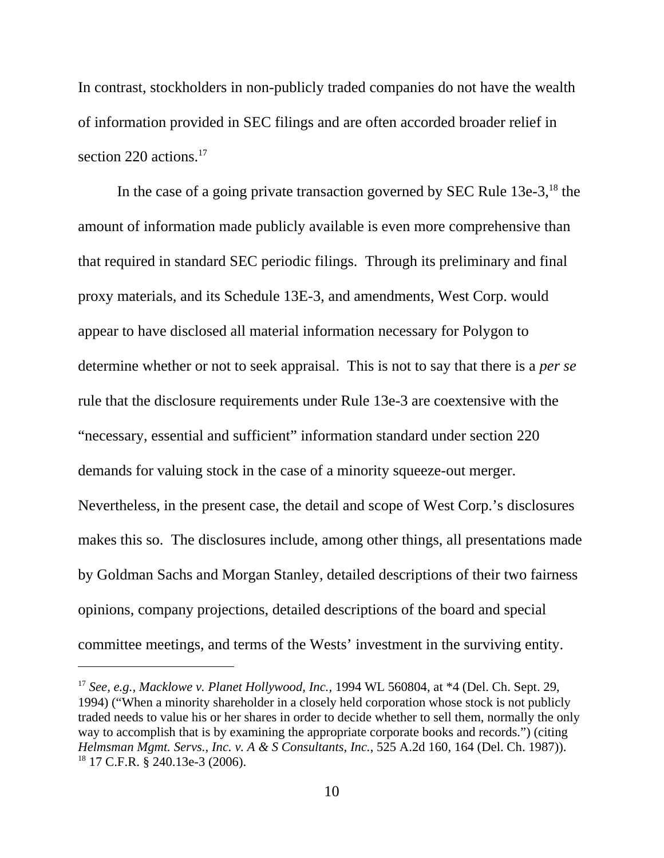In contrast, stockholders in non-publicly traded companies do not have the wealth of information provided in SEC filings and are often accorded broader relief in section 220 actions.<sup>17</sup>

In the case of a going private transaction governed by SEC Rule  $13e-3$ ,  $18$  the amount of information made publicly available is even more comprehensive than that required in standard SEC periodic filings. Through its preliminary and final proxy materials, and its Schedule 13E-3, and amendments, West Corp. would appear to have disclosed all material information necessary for Polygon to determine whether or not to seek appraisal. This is not to say that there is a *per se* rule that the disclosure requirements under Rule 13e-3 are coextensive with the "necessary, essential and sufficient" information standard under section 220 demands for valuing stock in the case of a minority squeeze-out merger. Nevertheless, in the present case, the detail and scope of West Corp.'s disclosures makes this so. The disclosures include, among other things, all presentations made by Goldman Sachs and Morgan Stanley, detailed descriptions of their two fairness opinions, company projections, detailed descriptions of the board and special committee meetings, and terms of the Wests' investment in the surviving entity.

<sup>17</sup> *See, e.g., Macklowe v. Planet Hollywood, Inc.,* 1994 WL 560804, at \*4 (Del. Ch. Sept. 29, 1994) ("When a minority shareholder in a closely held corporation whose stock is not publicly traded needs to value his or her shares in order to decide whether to sell them, normally the only way to accomplish that is by examining the appropriate corporate books and records.") (citing *Helmsman Mgmt. Servs., Inc. v. A & S Consultants, Inc.*, 525 A.2d 160, 164 (Del. Ch. 1987)).  $18$  17 C.F.R. § 240.13e-3 (2006).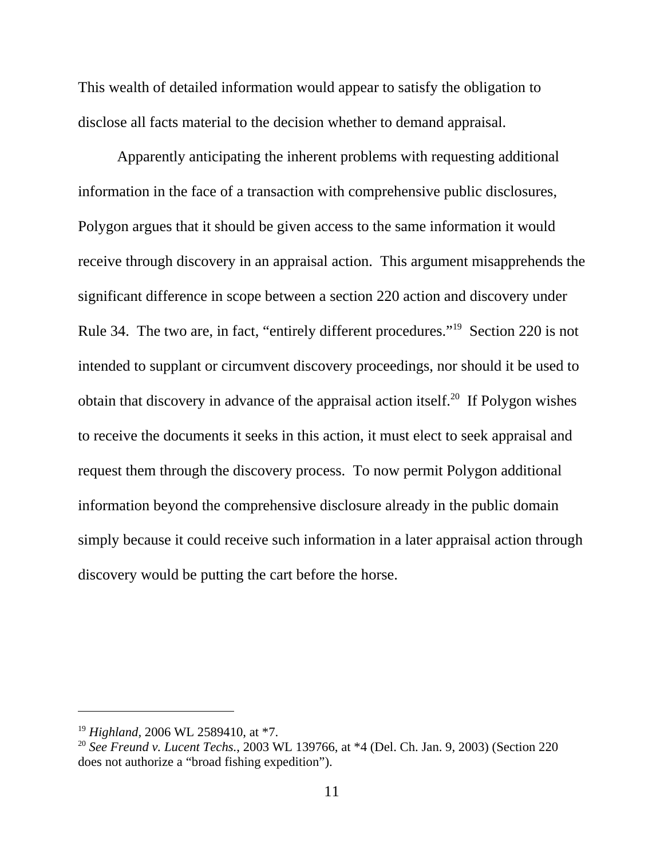This wealth of detailed information would appear to satisfy the obligation to disclose all facts material to the decision whether to demand appraisal.

Apparently anticipating the inherent problems with requesting additional information in the face of a transaction with comprehensive public disclosures, Polygon argues that it should be given access to the same information it would receive through discovery in an appraisal action. This argument misapprehends the significant difference in scope between a section 220 action and discovery under Rule 34. The two are, in fact, "entirely different procedures."19 Section 220 is not intended to supplant or circumvent discovery proceedings, nor should it be used to obtain that discovery in advance of the appraisal action itself.<sup>20</sup> If Polygon wishes to receive the documents it seeks in this action, it must elect to seek appraisal and request them through the discovery process. To now permit Polygon additional information beyond the comprehensive disclosure already in the public domain simply because it could receive such information in a later appraisal action through discovery would be putting the cart before the horse.

<sup>19</sup> *Highland,* 2006 WL 2589410, at \*7.

<sup>20</sup> *See Freund v. Lucent Techs.*, 2003 WL 139766, at \*4 (Del. Ch. Jan. 9, 2003) (Section 220 does not authorize a "broad fishing expedition").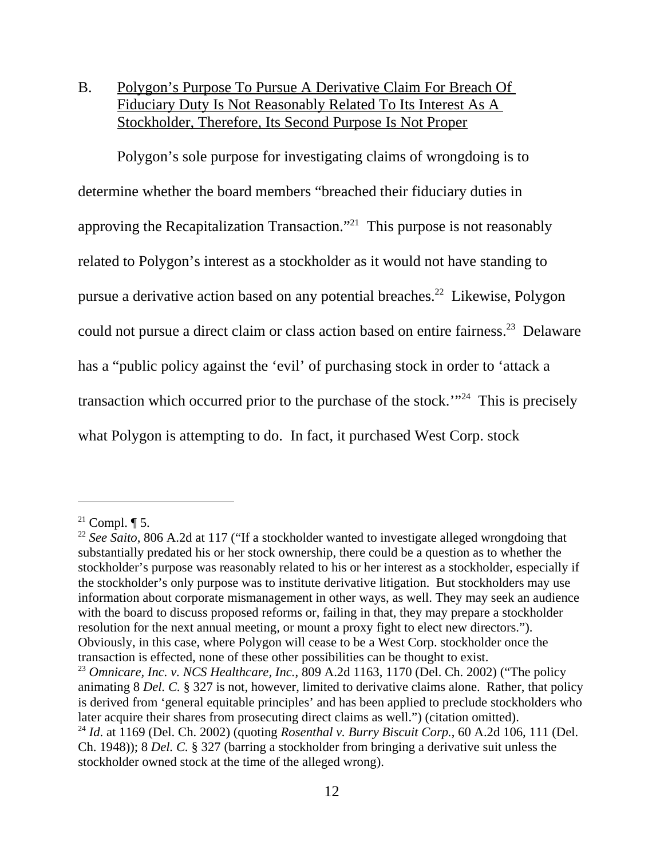B. Polygon's Purpose To Pursue A Derivative Claim For Breach Of Fiduciary Duty Is Not Reasonably Related To Its Interest As A Stockholder, Therefore, Its Second Purpose Is Not Proper

Polygon's sole purpose for investigating claims of wrongdoing is to determine whether the board members "breached their fiduciary duties in approving the Recapitalization Transaction."21 This purpose is not reasonably related to Polygon's interest as a stockholder as it would not have standing to pursue a derivative action based on any potential breaches.22 Likewise, Polygon could not pursue a direct claim or class action based on entire fairness.<sup>23</sup> Delaware has a "public policy against the 'evil' of purchasing stock in order to 'attack a transaction which occurred prior to the purchase of the stock.'"24 This is precisely what Polygon is attempting to do. In fact, it purchased West Corp. stock

<sup>&</sup>lt;sup>21</sup> Compl.  $\P$  5.

<sup>&</sup>lt;sup>22</sup> See Saito, 806 A.2d at 117 ("If a stockholder wanted to investigate alleged wrongdoing that substantially predated his or her stock ownership, there could be a question as to whether the stockholder's purpose was reasonably related to his or her interest as a stockholder, especially if the stockholder's only purpose was to institute derivative litigation. But stockholders may use information about corporate mismanagement in other ways, as well. They may seek an audience with the board to discuss proposed reforms or, failing in that, they may prepare a stockholder resolution for the next annual meeting, or mount a proxy fight to elect new directors."). Obviously, in this case, where Polygon will cease to be a West Corp. stockholder once the transaction is effected, none of these other possibilities can be thought to exist.

<sup>&</sup>lt;sup>23</sup> *Omnicare, Inc. v. NCS Healthcare, Inc.,* 809 A.2d 1163, 1170 (Del. Ch. 2002) ("The policy animating 8 *Del. C.* § 327 is not, however, limited to derivative claims alone. Rather, that policy is derived from 'general equitable principles' and has been applied to preclude stockholders who later acquire their shares from prosecuting direct claims as well.") (citation omitted). <sup>24</sup> *Id*. at 1169 (Del. Ch. 2002) (quoting *Rosenthal v. Burry Biscuit Corp.*, 60 A.2d 106, 111 (Del.

Ch. 1948)); 8 *Del. C.* § 327 (barring a stockholder from bringing a derivative suit unless the stockholder owned stock at the time of the alleged wrong).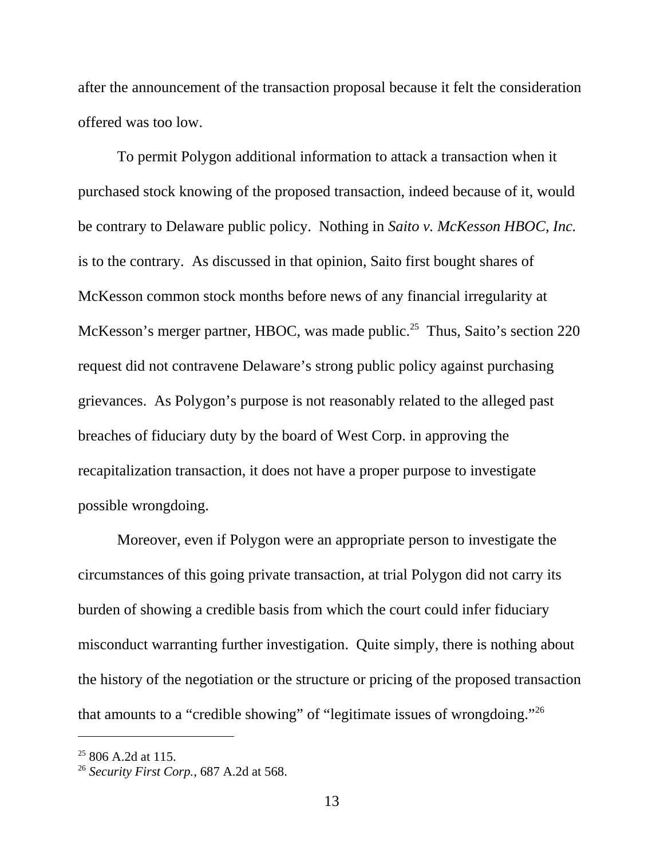after the announcement of the transaction proposal because it felt the consideration offered was too low.

To permit Polygon additional information to attack a transaction when it purchased stock knowing of the proposed transaction, indeed because of it, would be contrary to Delaware public policy. Nothing in *Saito v. McKesson HBOC, Inc.* is to the contrary. As discussed in that opinion, Saito first bought shares of McKesson common stock months before news of any financial irregularity at McKesson's merger partner, HBOC, was made public.<sup>25</sup> Thus, Saito's section 220 request did not contravene Delaware's strong public policy against purchasing grievances. As Polygon's purpose is not reasonably related to the alleged past breaches of fiduciary duty by the board of West Corp. in approving the recapitalization transaction, it does not have a proper purpose to investigate possible wrongdoing.

Moreover, even if Polygon were an appropriate person to investigate the circumstances of this going private transaction, at trial Polygon did not carry its burden of showing a credible basis from which the court could infer fiduciary misconduct warranting further investigation. Quite simply, there is nothing about the history of the negotiation or the structure or pricing of the proposed transaction that amounts to a "credible showing" of "legitimate issues of wrongdoing."26

 $25806$  A.2d at 115.

<sup>26</sup> *Security First Corp.*, 687 A.2d at 568.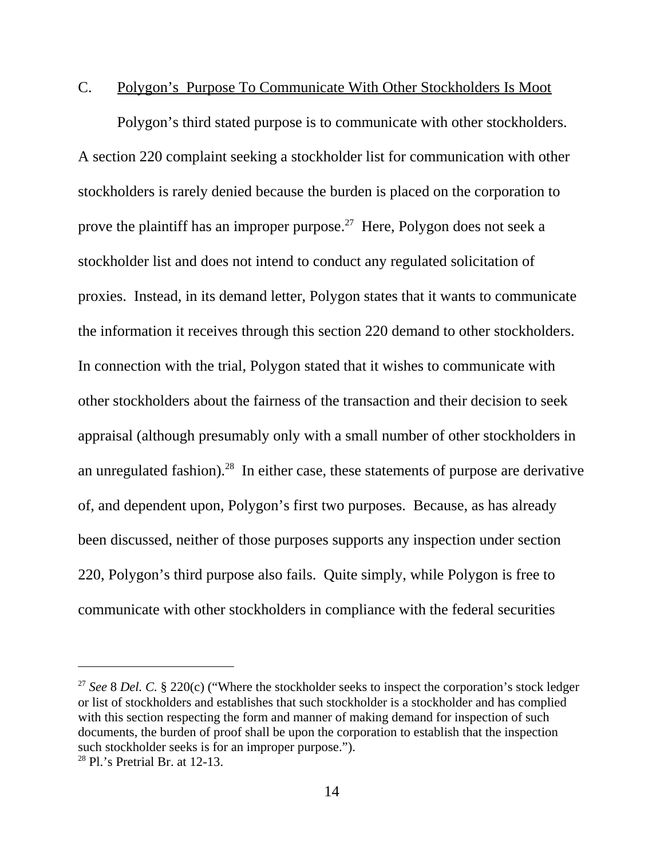#### C. Polygon's Purpose To Communicate With Other Stockholders Is Moot

Polygon's third stated purpose is to communicate with other stockholders. A section 220 complaint seeking a stockholder list for communication with other stockholders is rarely denied because the burden is placed on the corporation to prove the plaintiff has an improper purpose.<sup>27</sup> Here, Polygon does not seek a stockholder list and does not intend to conduct any regulated solicitation of proxies. Instead, in its demand letter, Polygon states that it wants to communicate the information it receives through this section 220 demand to other stockholders. In connection with the trial, Polygon stated that it wishes to communicate with other stockholders about the fairness of the transaction and their decision to seek appraisal (although presumably only with a small number of other stockholders in an unregulated fashion).<sup>28</sup> In either case, these statements of purpose are derivative of, and dependent upon, Polygon's first two purposes. Because, as has already been discussed, neither of those purposes supports any inspection under section 220, Polygon's third purpose also fails. Quite simply, while Polygon is free to communicate with other stockholders in compliance with the federal securities

<sup>&</sup>lt;sup>27</sup> See 8 Del. C. § 220(c) ("Where the stockholder seeks to inspect the corporation's stock ledger or list of stockholders and establishes that such stockholder is a stockholder and has complied with this section respecting the form and manner of making demand for inspection of such documents, the burden of proof shall be upon the corporation to establish that the inspection such stockholder seeks is for an improper purpose.").

 $28$  Pl.'s Pretrial Br. at 12-13.